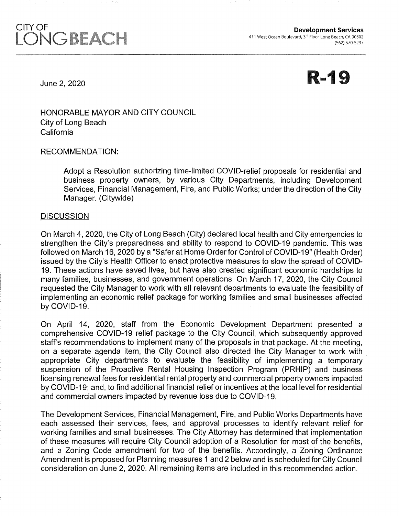# CITY OF LON

**R-19** 

June 2, 2020

HONORABLE MAYOR AND CITY COUNCIL City of Long Beach **California** 

RECOMMENDATION:

Adopt a Resolution authorizing time-limited COVID-relief proposals for residential and business property owners, by various City Departments, including Development Services, Financial Management, Fire, and Public Works; under the direction of the City Manager. (Citywide)

### **DISCUSSION**

On March 4, 2020, the City of Long Beach (City) declared local health and City emergencies to strengthen the City's preparedness and ability to respond to COVID-19 pandemic. This was followed on March 16, 2020 by a "Safer at Home Order for Control of COVID-19" (Health Order) issued by the City's Health Officer to enact protective measures to slow the spread of COVID-19. These actions have saved lives, but have also created significant economic hardships to many families, businesses, and government operations. On March 17, 2020, the City Council requested the City Manager to work with all relevant departments to evaluate the feasibility of implementing an economic relief package for working families and small businesses affected by COVID-19.

On April 14, 2020, staff from the Economic Development Department presented a comprehensive COVID-19 relief package to the City Council, which subsequently approved staff's recommendations to implement many of the proposals in that package. At the meeting, on a separate agenda item, the City Council also directed the City Manager to work with appropriate City departments to evaluate the feasibility of implementing a temporary suspension of the Proactive Rental Housing Inspection Program (PRHIP) and business licensing renewal fees for residential rental property and commercial property owners impacted by COVID-19; and, to find additional financial relief or incentives at the local level for residential and commercial owners impacted by revenue loss due to COVID-19.

The Development Services, Financial Management, Fire, and Public Works Departments have each assessed their services, fees, and approval processes to identify relevant relief for working families and small businesses. The City Attorney has determined that implementation of these measures will require City Council adoption of a Resolution for most of the benefits, and a Zoning Code amendment for two of the benefits. Accordingly, a Zoning Ordinance Amendment is proposed for Planning measures 1 and 2 below and is scheduled for City Council consideration on June 2, 2020. All remaining items are included in this recommended action.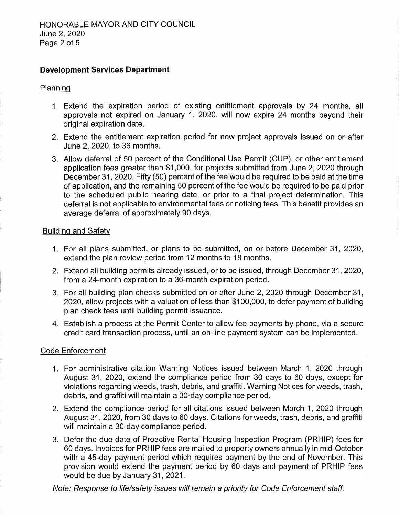# Development Services Department

#### Planning

- 1 . Extend the expiration period of existing entitlement approvals by 24 months, all approvals not expired on January 1, 2020, will now expire 24 months beyond their original expiration date.
- 2. Extend the entitlement expiration period for new project approvals issued on or after June 2, 2020, to 36 months.
- 3. Allow deferral of 50 percent of the Conditional Use Permit (CUP), or other entitlement application fees greater than \$1,000, for projects submitted from June 2, 2020 through December 31, 2020. Fifty (50) percent of the fee would be required to be paid at the time of application, and the remaining 50 percent of the fee would be required to be paid prior to the scheduled public hearing date, or prior to a final project determination. This deferral is not applicable to environmental fees or noticing fees. This benefit provides an average deferral of approximately 90 days.

#### Building and Safety

- 1. For all plans submitted, or plans to be submitted, on or before December 31, 2020, extend the plan review period from 12 months to 18 months.
- 2. Extend all building permits already issued, or to be issued, through December 31, 2020, from a 24-month expiration to a 36-month expiration period.
- 3. For all building plan checks submitted on or after June 2, 2020 through December 31, 2020, allow projects with a valuation of less than \$100,000, to defer payment of building plan check fees until building permit issuance.
- 4. Establish a process at the Permit Center to allow fee payments by phone, via a secure credit card transaction process, until an on-line payment system can be implemented.

#### Code Enforcement

- 1. For administrative citation Warning Notices issued between March 1, 2020 through August 31, 2020, extend the compliance period from 30 days to 60 days, except for violations regarding weeds, trash, debris, and graffiti. Warning Notices for weeds, trash, debris, and graffiti will maintain a 30-day compliance period.
- 2. Extend the compliance period for all citations issued between March 1, 2020 through August 31, 2020, from 30 days to 60 days. Citations for weeds, trash, debris, and graffiti will maintain a 30-day compliance period.
- 3. Defer the due date of Proactive Rental Housing Inspection Program (PRHIP) fees for 60 days. Invoices for PRHIP fees are mailed to property owners annually in mid-October with a 45-day payment period which requires payment by the end of November. This provision would extend the payment period by 60 days and payment of PRHIP fees would be due by January 31, 2021.

Note: Response to life/safety issues will remain a priority for Code Enforcement staff.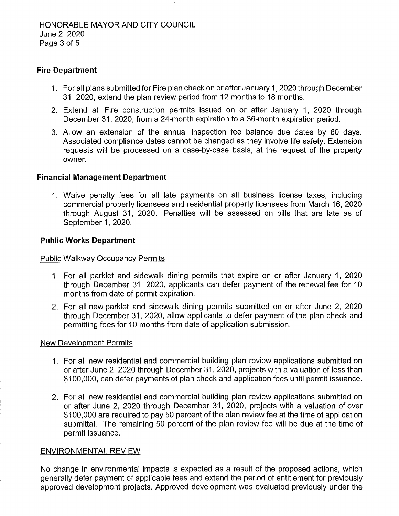# Fire Department

- 1 . For all plans submitted for Fire plan check on or after January 1 , 2020 through December 31 , 2020, extend the plan review period from 12 months to 18 months.
- 2. Extend all Fire construction permits issued on or after January 1, 2020 through December 31, 2020, from a 24-month expiration to a 36-month expiration period.
- 3. Allow an extension of the annual inspection fee balance due dates by 60 days. Associated compliance dates cannot be changed as they involve life safety. Extension requests will be processed on a case-by-case basis, at the request of the property owner.

### Financial Management Department

1. Waive penalty fees for all late payments on all business license taxes, including commercial property licensees and residential property licensees from March 16, 2020 through August 31, 2020. Penalties will be assessed on bills that are late as of September 1, 2020.

### Public Works Department

#### Public Walkway Occupancy Permits

- 1. For all parklet and sidewalk dining permits that expire on or after January 1, 2020 through December 31, 2020, applicants can defer payment of the renewal fee for 10 months from date of permit expiration.
- 2. For all new parklet and sidewalk dining permits submitted on or after June 2, 2020 through December 31, 2020, allow applicants to defer payment of the plan check and permitting fees for 10 months from date of application submission.

#### New Development Permits

- 1. For all new residential and commercial building plan review applications submitted on or after June 2, 2020 through December 31, 2020, projects with a valuation of less than \$100,000, can defer payments of plan check and application fees until permit issuance.
- 2. For all new residential and commercial building plan review applications submitted on or after June 2, 2020 through December 31, 2020, projects with a valuation of over \$100,000 are required to pay 50 percent of the plan review fee at the time of application submittal. The remaining 50 percent of the plan review fee will be due at the time of permit issuance.

#### ENVIRONMENTAL REVIEW

No change in environmental impacts is expected as a result of the proposed actions, which generally defer payment of applicable fees and extend the period of entitlement for previously approved development projects. Approved development was evaluated previously under the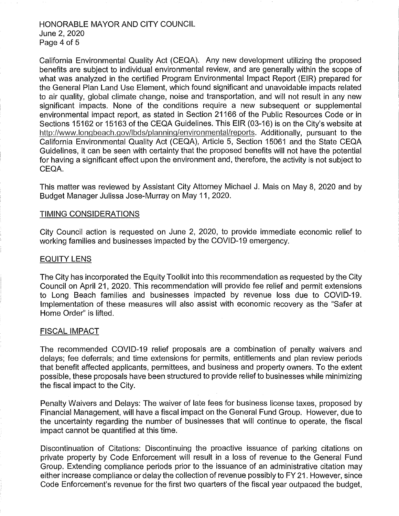#### HONORABLE MAYOR AND CITY COUNCIL June 2, 2020 Page 4 of 5

California Environmental Quality Act (CEQA). Any new development utilizing the proposed benefits are subject to individual environmental review, and are generally within the scope of what was analyzed in the certified Program Environmental Impact Report (EIR) prepared for the General Plan Land Use Element, which found significant and unavoidable impacts related to air quality, global climate change, noise and transportation, and will not result in any new significant impacts. None of the conditions require a new subsequent or supplemental environmental impact report, as stated in Section 21166 of the Public Resources Code or in Sections 15162 or 15163 of the CEQA Guidelines. This EIR (03-16) is on the City's website at http://www.longbeach.gov/lbds/planning/environmental/reports. Additionally, pursuant to the California Environmental Quality Act (CEQA), Article 5, Section 15061 and the State CEQA Guidelines, it can be seen with certainty that the proposed benefits will not have the potential for having a significant effect upon the environment and, therefore, the activity is not subject to CEQA.

This matter was reviewed by Assistant City Attorney Michael J. Mais on May 8, 2020 and by Budget Manager Julissa Jose-Murray on May 11, 2020.

#### TIMING CONSIDERATIONS

City Council action is requested on June 2, 2020, to provide immediate economic relief to working families and businesses impacted by the COVID-19 emergency.

#### EQUITY LENS

The City has incorporated the Equity Toolkit into this recommendation as requested by the City Council on April 21, 2020. This recommendation will provide fee relief and permit extensions to Long Beach families and businesses impacted by revenue loss due to COVID-19. Implementation of these measures will also assist with economic recovery as the "Safer at Home Order" is lifted.

#### FISCAL IMPACT

The recommended COVID-19 relief proposals are a combination of penalty waivers and delays; fee deferrals; and time extensions for permits, entitlements and plan review periods that benefit affected applicants, permittees, and business and property owners. To the extent possible, these proposals have been structured to provide relief to businesses while minimizing the fiscal impact to the City.

Penalty Waivers and Delays: The waiver of late fees for business license taxes, proposed by Financial Management, will have a fiscal impact on the General Fund Group. However, due to the uncertainty regarding the number of businesses that will continue to operate, the fiscal impact cannot be quantified at this time.

Discontinuation of Citations: Discontinuing the proactive issuance of parking citations on private property by Code Enforcement will result in a loss of revenue to the General Fund Group. Extending compliance periods prior to the issuance of an administrative citation may either increase compliance or delay the collection of revenue possibly to FY 21. However, since Code Enforcement's revenue for the first two quarters of the fiscal year outpaced the budget,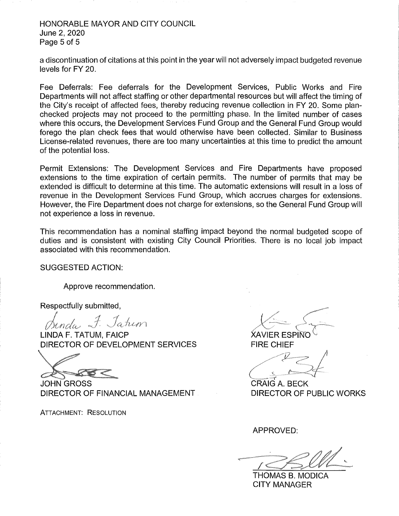### HONORABLE MAYOR AND CITY COUNCIL June 2, 2020 Page 5 of 5

a discontinuation of citations at this point in the year will not adversely impact budgeted revenue levels for FY 20.

Fee Deferrals: Fee deferrals for the Development Services, Public Works and Fire Departments will not affect staffing or other departmental resources but will affect the timing of the City's receipt of affected fees, thereby reducing revenue collection in FY 20. Some planchecked projects may not proceed to the permitting phase. In the limited number of cases where this occurs, the Development Services Fund Group and the General Fund Group would forego the plan check fees that would otherwise have been collected. Similar to Business License-related revenues, there are too many uncertainties at this time to predict the amount of the potential loss.

Permit Extensions: The Development Services and Fire Departments have proposed extensions to the time expiration of certain permits. The number of permits that may be extended is difficult to determine at this time. The automatic extensions will result in a loss of revenue in the Development Services Fund Group, which accrues charges for extensions. However, the Fire Department does not charge for extensions, so the General Fund Group will not experience a loss in revenue.

This recommendation has a nominal staffing impact beyond the normal budgeted scope of duties and is consistent with existing City Council Priorities. There is no local job impact associated with this recommendation.

SUGGESTED ACTION:

Approve recommendation.

Respectfully submitted,

*{lt/ncltu* 

LINDA F. TATUM, FAICP DIRECTOR OF DEVELOPMENT SERVICES

JOHN GROSS DIRECTOR OF FINANCIAL MANAGEMENT

ATTACHMENT: RESOLUTION

**XAVIER ESPINO FIRE CHIEF** 

CRAIG A. BECK DIRECTOR OF PUBLIC WORKS

APPROVED:

 $\sqrt{2}$ 

THOMAS B. MODICA CITY MANAGER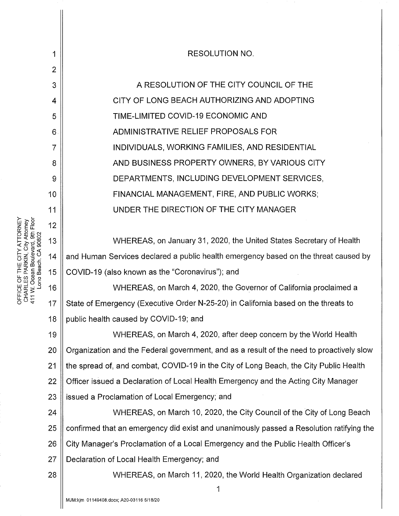| Boulevard, 9th Floor<br>ATTORNEY<br>PARKIN, City Attorney<br>Long Beach. CA 90802<br>5<br>"<br>논<br>$\frac{1}{10}$<br>OFFICE OF<br>CHARLES I<br>411 W. Ocea | 1  | <b>RESOLUTION NO.</b>                                                                    |
|-------------------------------------------------------------------------------------------------------------------------------------------------------------|----|------------------------------------------------------------------------------------------|
|                                                                                                                                                             | 2  |                                                                                          |
|                                                                                                                                                             | 3  | A RESOLUTION OF THE CITY COUNCIL OF THE                                                  |
|                                                                                                                                                             | 4  | CITY OF LONG BEACH AUTHORIZING AND ADOPTING                                              |
|                                                                                                                                                             | 5  | TIME-LIMITED COVID-19 ECONOMIC AND                                                       |
|                                                                                                                                                             | 6  | ADMINISTRATIVE RELIEF PROPOSALS FOR                                                      |
|                                                                                                                                                             | 7  | INDIVIDUALS, WORKING FAMILIES, AND RESIDENTIAL                                           |
|                                                                                                                                                             | 8  | AND BUSINESS PROPERTY OWNERS, BY VARIOUS CITY                                            |
|                                                                                                                                                             | 9  | DEPARTMENTS, INCLUDING DEVELOPMENT SERVICES,                                             |
|                                                                                                                                                             | 10 | FINANCIAL MANAGEMENT, FIRE, AND PUBLIC WORKS;                                            |
|                                                                                                                                                             | 11 | UNDER THE DIRECTION OF THE CITY MANAGER                                                  |
|                                                                                                                                                             | 12 |                                                                                          |
|                                                                                                                                                             | 13 | WHEREAS, on January 31, 2020, the United States Secretary of Health                      |
|                                                                                                                                                             | 14 | and Human Services declared a public health emergency based on the threat caused by      |
|                                                                                                                                                             | 15 | COVID-19 (also known as the "Coronavirus"); and                                          |
|                                                                                                                                                             | 16 | WHEREAS, on March 4, 2020, the Governor of California proclaimed a                       |
|                                                                                                                                                             | 17 | State of Emergency (Executive Order N-25-20) in California based on the threats to       |
|                                                                                                                                                             | 18 | public health caused by COVID-19; and                                                    |
|                                                                                                                                                             | 19 | WHEREAS, on March 4, 2020, after deep concern by the World Health                        |
|                                                                                                                                                             | 20 | Organization and the Federal government, and as a result of the need to proactively slow |
|                                                                                                                                                             | 21 | the spread of, and combat, COVID-19 in the City of Long Beach, the City Public Health    |
|                                                                                                                                                             | 22 | Officer issued a Declaration of Local Health Emergency and the Acting City Manager       |
|                                                                                                                                                             | 23 | issued a Proclamation of Local Emergency; and                                            |
|                                                                                                                                                             | 24 | WHEREAS, on March 10, 2020, the City Council of the City of Long Beach                   |
|                                                                                                                                                             | 25 | confirmed that an emergency did exist and unanimously passed a Resolution ratifying the  |
|                                                                                                                                                             | 26 | City Manager's Proclamation of a Local Emergency and the Public Health Officer's         |
|                                                                                                                                                             | 27 | Declaration of Local Health Emergency; and                                               |
|                                                                                                                                                             | 28 | WHEREAS, on March 11, 2020, the World Health Organization declared                       |
|                                                                                                                                                             |    | 1                                                                                        |
|                                                                                                                                                             |    | MJM:kjm 01149408.docx; A20-03116 5/18/20                                                 |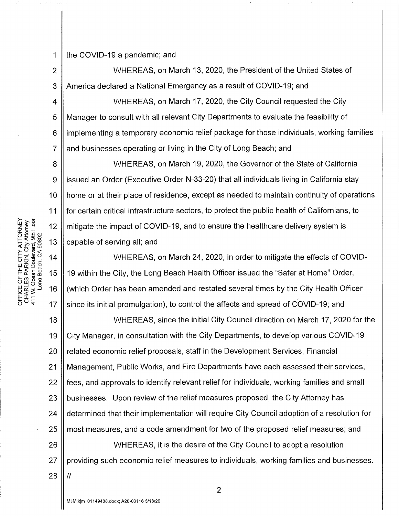2

3

9

11

 $\frac{5}{5}$   $\approx$   $\frac{1}{10}$ 

1

the COVID-19 a pandemic; and

WHEREAS, on March 13, 2020, the President of the United States of America declared a National Emergency as a result of COVID-19; and

4 5 6 7 WHEREAS, on March 17, 2020, the City Council requested the City Manager to consult with all relevant City Departments to evaluate the feasibility of implementing a temporary economic relief package for those individuals, working families and businesses operating or living in the City of Long Beach; and

8 10  $z \ddot{\varepsilon}$   $\stackrel{\circ}{\epsilon}$   $\stackrel{\circ}{\epsilon}$  12 0 ਮੋਹਿਸ<br>ਮਾਮ ਮਾਮ ਮਾਮ ਮਾਮ ਮਾਮ<br>13 ਫਾਰ ਕਰਨ<br>13 13 13 WHEREAS, on March 19, 2020, the Governor of the State of California issued an Order (Executive Order N-33-20) that all individuals living in California stay home or at their place of residence, except as needed to maintain continuity of operations for certain critical infrastructure sectors, to protect the public health of Californians, to mitigate the impact of COVID-19, and to ensure the healthcare delivery system is capable of serving all; and

FTHE CITY<br>CHE SARKIN, C<br>Cosan Bouleva<br>Ocean Bouleva<br>Cosan C<br>Cosan C<br>Cosan C<br>Cosan C<br>Cosan C<br>C<br>Cosan C<br>C<br>C  $W_{\text{L}}^{\text{L}} = 16$ <br>  $W_{\text{L}}^{\text{L}} = 16$  $\circ$   $\frac{17}{4}$ WHEREAS, on March 24, 2020, in order to mitigate the effects of COVID-19 within the City, the Long Beach Health Officer issued the "Safer at Home" Order, (which Order has been amended and restated several times by the City Health Officer since its initial promulgation), to control the affects and spread of COVID-19; and

18 19 20 21 22 23 24 25 26 27 WHEREAS, since the initial City Council direction on March 17, 2020 for the City Manager, in consultation with the City Departments, to develop various COVID-19 related economic relief proposals, staff in the Development Services, Financial Management, Public Works, and Fire Departments have each assessed their services, fees, and approvals to identify relevant relief for individuals, working families and small businesses. Upon review of the relief measures proposed, the City Attorney has determined that their implementation will require City Council adoption of a resolution for most measures, and a code amendment for two of the proposed relief measures; and WHEREAS, it is the desire of the City Council to adopt a resolution providing such economic relief measures to individuals, working families and businesses.

28

II

2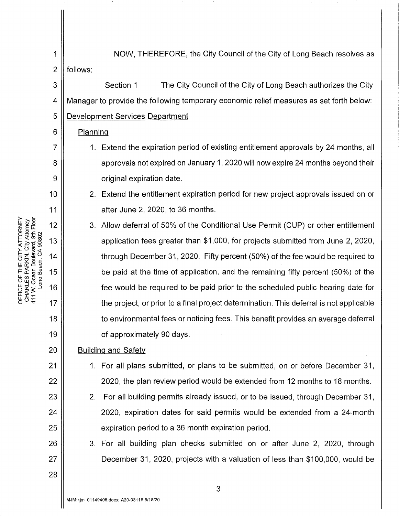3

6

7

8

9

10

11

12

13

14

15

16

17

18

19

20

21

22

23

24

25

26

27

28

1 || NOW, THEREFORE, the City Council of the City of Long Beach resolves as  $2 \parallel$  follows:

4 5 Section 1 The City Council of the City of Long Beach authorizes the City Manager to provide the following temporary economic relief measures as set forth below: Development Services Department

### Planning

- 1. Extend the expiration period of existing entitlement approvals by 24 months, all approvals not expired on January 1, 2020 will now expire 24 months beyond their original expiration date.
- 2. Extend the entitlement expiration period for new project approvals issued on or after June 2, 2020, to 36 months.
- 3. Allow deferral of 50% of the Conditional Use Permit (CUP) or other entitlement application fees greater than \$1,000, for projects submitted from June 2, 2020, through December 31, 2020. Fifty percent (50%) of the fee would be required to be paid at the time of application, and the remaining fifty percent (50%) of the fee would be required to be paid prior to the scheduled public hearing date for the project, or prior to a final project determination. This deferral is not applicable to environmental fees or noticing fees. This benefit provides an average deferral of approximately 90 days.

## Building and Safety

- 1. For all plans submitted, or plans to be submitted, on or before December 31, 2020, the plan review period would be extended from 12 months to 18 months.
- 2. For all building permits already issued, or to be issued, through December 31, 2020, expiration dates for said permits would be extended from a 24-month expiration period to a 36 month expiration period.
- 3. For all building plan checks submitted on or after June 2, 2020, through December 31, 2020, projects with a valuation of less than \$100,000, would be

RNEY<br><sup>>mey</sup><br>Floor **ATTOI<br>2, Att & Att**<br>1, B<br>90802<br>90802 : OF THE CITY<br>LES PARKIN, (<br>Ocean Boulew<br>ond Beach. CA W 보기<br>대주 > 그<br>문화 -

 $\circ$   $\sim$   $\circ$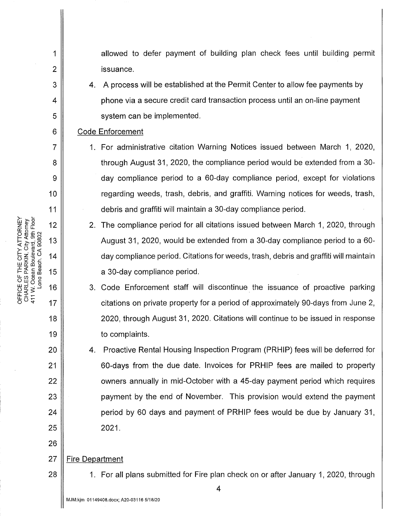10 11 > 2 MHz<br>로바이트<br>- 2 MHz 0:@ £ <sup>N</sup> ~<(O>~ cuo <sup>13</sup> <( ·- ..... (J) ~og<C -z.!l!O 14 (.) sz 5 .c w 0:: fl) u  $E \n\begin{bmatrix} 1 & 0 \\ 0 & 0 \\ 0 & 0 \end{bmatrix}$  15 5 ឃុំ 8 ខ្ល<sub>ី</sub>  $W = \frac{1}{2}$  .  $\frac{1}{2}$  .  $\frac{1}{2}$  .  $\frac{1}{2}$  .  $\frac{1}{2}$  .  $\frac{1}{2}$  .  $\frac{1}{2}$  .  $\frac{1}{2}$  .  $\frac{1}{2}$  .  $\frac{1}{2}$  .  $\frac{1}{2}$  .  $\frac{1}{2}$  .  $\frac{1}{2}$  .  $\frac{1}{2}$  .  $\frac{1}{2}$  .  $\frac{1}{2}$  .  $\frac{1}{2}$  .  $\frac{1}{2}$  .  $\frac$ 

 $\overline{\circ}$   $\rightarrow$   $\frac{17}{17}$ 

18

19

20

21

22

23

24

25

26

1

2

3

4

5

6

7

8

9

allowed to defer payment of building plan check fees until building permit issuance.

4. A process will be established at the Permit Center to allow fee payments by phone via a secure credit card transaction process until an on-line payment system can be implemented.

#### Code Enforcement

- 1. For administrative citation Warning Notices issued between March 1, 2020, through August 31, 2020, the compliance period would be extended from a 30 day compliance period to a 60-day compliance period, except for violations regarding weeds, trash, debris, and graffiti. Warning notices for weeds, trash, debris and graffiti will maintain a 30-day compliance period.
- 2. The compliance period for all citations issued between March 1, 2020, through August 31, 2020, would be extended from a 30-day compliance period to a 60 day compliance period. Citations for weeds, trash, debris and graffiti will maintain a 30-day compliance period.
- 3. Code Enforcement staff will discontinue. the issuance of proactive parking citations on private property for a period of approximately 90-days from June 2, 2020, through August 31, 2020. Citations will continue to be issued in response to complaints.
- 4. Proactive Rental Housing Inspection Program (PRHIP) fees will be deferred for 60-days from the due date. Invoices for PRHIP fees are mailed to property owners annually in mid-October with a 45-day payment period which requires payment by the end of November. This provision would extend the payment period by 60 days and payment of PRHIP fees would be due by January 31, 2021.

#### 27 Fire Department

28

1. For all plans submitted for Fire plan check on or after January 1, 2020, through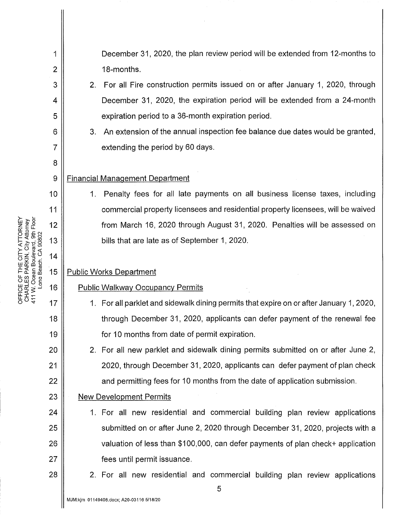| CHARLES PARKIN, City Attorney<br>411 W. Ocean Boulevard, 9th Floor<br>Long Beach. CA 90802<br>ATTORNEY<br>THE CIT<br>411 W. Oce<br>$\circ$<br>OFFICE | 1            | December 31, 2020, the plan review period will be extended from 12-months to            |
|------------------------------------------------------------------------------------------------------------------------------------------------------|--------------|-----------------------------------------------------------------------------------------|
|                                                                                                                                                      | $\mathbf{2}$ | 18-months.                                                                              |
|                                                                                                                                                      | 3            | 2. For all Fire construction permits issued on or after January 1, 2020, through        |
|                                                                                                                                                      | 4            | December 31, 2020, the expiration period will be extended from a 24-month               |
|                                                                                                                                                      | 5            | expiration period to a 36-month expiration period.                                      |
|                                                                                                                                                      | 6            | An extension of the annual inspection fee balance due dates would be granted,<br>3.     |
|                                                                                                                                                      | 7            | extending the period by 60 days.                                                        |
|                                                                                                                                                      | 8            |                                                                                         |
|                                                                                                                                                      | 9            | <b>Financial Management Department</b>                                                  |
|                                                                                                                                                      | 10           | Penalty fees for all late payments on all business license taxes, including<br>1.       |
|                                                                                                                                                      | 11           | commercial property licensees and residential property licensees, will be waived        |
|                                                                                                                                                      | 12           | from March 16, 2020 through August 31, 2020. Penalties will be assessed on              |
|                                                                                                                                                      | 13           | bills that are late as of September 1, 2020.                                            |
|                                                                                                                                                      | 14           |                                                                                         |
|                                                                                                                                                      | 15           | <b>Public Works Department</b>                                                          |
|                                                                                                                                                      | 16           | <b>Public Walkway Occupancy Permits</b>                                                 |
|                                                                                                                                                      | 17           | 1. For all parklet and sidewalk dining permits that expire on or after January 1, 2020, |
|                                                                                                                                                      | 18           | through December 31, 2020, applicants can defer payment of the renewal fee              |
|                                                                                                                                                      | 19           | for 10 months from date of permit expiration.                                           |
|                                                                                                                                                      | 20           | 2. For all new parklet and sidewalk dining permits submitted on or after June 2,        |
|                                                                                                                                                      | 21           | 2020, through December 31, 2020, applicants can defer payment of plan check             |
|                                                                                                                                                      | 22           | and permitting fees for 10 months from the date of application submission.              |
|                                                                                                                                                      | 23           | <b>New Development Permits</b>                                                          |
|                                                                                                                                                      | 24           | 1. For all new residential and commercial building plan review applications             |
|                                                                                                                                                      | 25           | submitted on or after June 2, 2020 through December 31, 2020, projects with a           |
|                                                                                                                                                      | 26           | valuation of less than \$100,000, can defer payments of plan check+ application         |
|                                                                                                                                                      | 27           | fees until permit issuance.                                                             |
|                                                                                                                                                      | 28           | 2. For all new residential and commercial building plan review applications             |
|                                                                                                                                                      |              | 5<br>MJM:kjm 01149408.docx; A20-03116 5/18/20                                           |
|                                                                                                                                                      |              |                                                                                         |

 $\hat{\mathcal{L}}$ 

ខ្ញុំ ≨ ¤  $\tilde{\mathcal{L}}$  =  $\tilde{\mathcal{L}}$   $\tilde{\mathcal{L}}$   $\tilde{\mathcal{L}}$   $\tilde{\mathcal{L}}$   $\tilde{\mathcal{L}}$   $\tilde{\mathcal{L}}$   $\tilde{\mathcal{L}}$   $\tilde{\mathcal{L}}$   $\tilde{\mathcal{L}}$   $\tilde{\mathcal{L}}$   $\tilde{\mathcal{L}}$   $\tilde{\mathcal{L}}$   $\tilde{\mathcal{L}}$   $\tilde{\mathcal{L}}$   $\tilde{\mathcal{L}}$   $\tilde{\mathcal{L}}$   $\tilde{\mathcal{L}}$   $\til$  $\sum_{\substack{S \subseteq S \ S \ S \ S \ S \ S}}$  14 m 호<br>도 호 명 옵<br>도 호 옵

 $\mathbf{\mathcal{H}}$